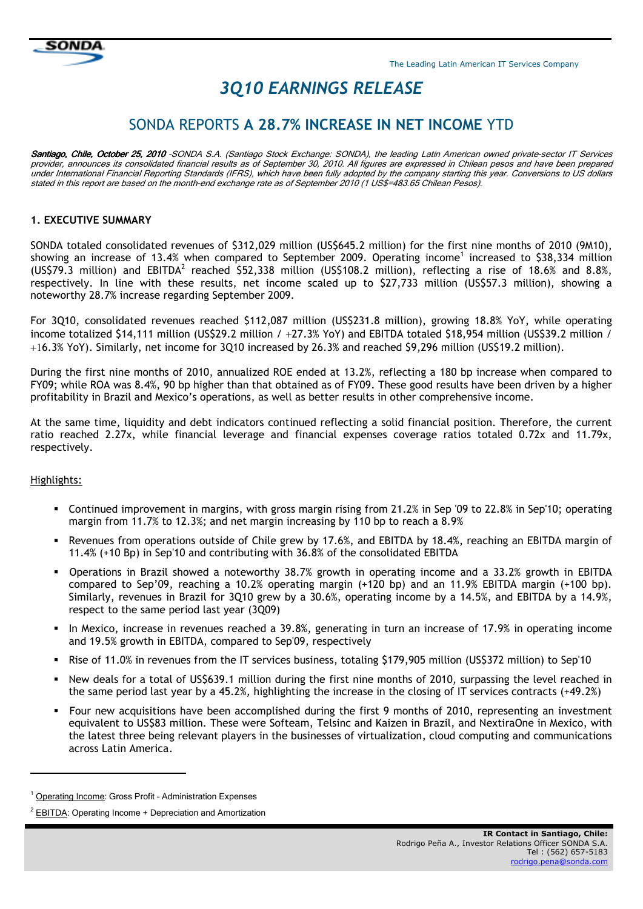

# *3Q10 EARNINGS RELEASE*

## SONDA REPORTS **A 28.7% INCREASE IN NET INCOME** YTD

Santiago, Chile, October 25, 2010 -SONDA S.A. (Santiago Stock Exchange: SONDA), the leading Latin American owned private-sector IT Services provider, announces its consolidated financial results as of September 30, 2010. All figures are expressed in Chilean pesos and have been prepared under International Financial Reporting Standards (IFRS), which have been fully adopted by the company starting this year. Conversions to US dollars stated in this report are based on the month-end exchange rate as of September 2010 (1 US\$=483.65 Chilean Pesos).

## **1. EXECUTIVE SUMMARY**

SONDA totaled consolidated revenues of \$312,029 million (US\$645.2 million) for the first nine months of 2010 (9M10), showing an increase of 13.4% when compared to September 2009. Operating income<sup>1</sup> increased to \$38,334 million (US\$79.3 million) and EBITDA<sup>2</sup> reached \$52,338 million (US\$108.2 million), reflecting a rise of 18.6% and 8.8%, respectively. In line with these results, net income scaled up to \$27,733 million (US\$57.3 million), showing a noteworthy 28.7% increase regarding September 2009.

For 3Q10, consolidated revenues reached \$112,087 million (US\$231.8 million), growing 18.8% YoY, while operating income totalized \$14,111 million (US\$29.2 million / +27.3% YoY) and EBITDA totaled \$18,954 million (US\$39.2 million / +16.3% YoY). Similarly, net income for 3Q10 increased by 26.3% and reached \$9,296 million (US\$19.2 million).

During the first nine months of 2010, annualized ROE ended at 13.2%, reflecting a 180 bp increase when compared to FY09; while ROA was 8.4%, 90 bp higher than that obtained as of FY09. These good results have been driven by a higher profitability in Brazil and Mexico's operations, as well as better results in other comprehensive income.

At the same time, liquidity and debt indicators continued reflecting a solid financial position. Therefore, the current ratio reached 2.27x, while financial leverage and financial expenses coverage ratios totaled 0.72x and 11.79x, respectively.

#### Highlights:

-

- Continued improvement in margins, with gross margin rising from 21.2% in Sep '09 to 22.8% in Sep'10; operating margin from 11.7% to 12.3%; and net margin increasing by 110 bp to reach a 8.9%
- Revenues from operations outside of Chile grew by 17.6%, and EBITDA by 18.4%, reaching an EBITDA margin of 11.4% (+10 Bp) in Sep'10 and contributing with 36.8% of the consolidated EBITDA
- Operations in Brazil showed a noteworthy 38.7% growth in operating income and a 33.2% growth in EBITDA compared to Sep'09, reaching a 10.2% operating margin (+120 bp) and an 11.9% EBITDA margin (+100 bp). Similarly, revenues in Brazil for 3Q10 grew by a 30.6%, operating income by a 14.5%, and EBITDA by a 14.9%, respect to the same period last year (3Q09)
- In Mexico, increase in revenues reached a 39.8%, generating in turn an increase of 17.9% in operating income and 19.5% growth in EBITDA, compared to Sep'09, respectively
- Rise of 11.0% in revenues from the IT services business, totaling \$179,905 million (US\$372 million) to Sep'10
- New deals for a total of US\$639.1 million during the first nine months of 2010, surpassing the level reached in the same period last year by a 45.2%, highlighting the increase in the closing of IT services contracts (+49.2%)
- Four new acquisitions have been accomplished during the first 9 months of 2010, representing an investment equivalent to US\$83 million. These were Softeam, Telsinc and Kaizen in Brazil, and NextiraOne in Mexico, with the latest three being relevant players in the businesses of virtualization, cloud computing and communications across Latin America.

<sup>&</sup>lt;sup>1</sup> Operating Income: Gross Profit - Administration Expenses

<sup>&</sup>lt;sup>2</sup> EBITDA: Operating Income + Depreciation and Amortization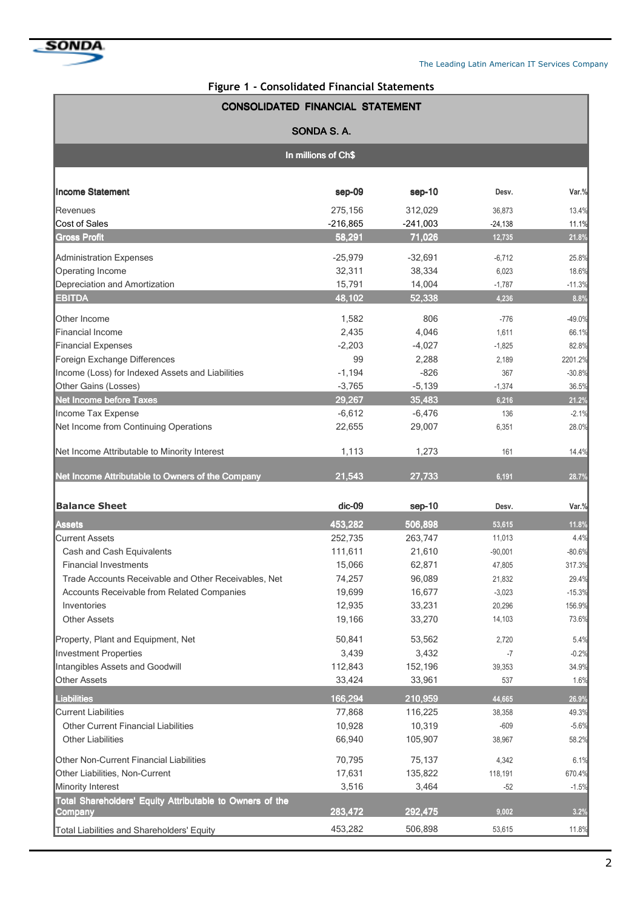

## **Figure 1 - Consolidated Financial Statements**

| <b>CONSOLIDATED FINANCIAL STATEMENT</b>                             |            |            |           |          |  |  |  |  |  |  |  |  |
|---------------------------------------------------------------------|------------|------------|-----------|----------|--|--|--|--|--|--|--|--|
|                                                                     | SONDA S.A. |            |           |          |  |  |  |  |  |  |  |  |
| In millions of Ch\$                                                 |            |            |           |          |  |  |  |  |  |  |  |  |
| <b>Income Statement</b>                                             | sep-09     | sep-10     | Desv.     | Var.%    |  |  |  |  |  |  |  |  |
| lRevenues                                                           | 275,156    | 312,029    | 36,873    | 13.4%    |  |  |  |  |  |  |  |  |
| Cost of Sales                                                       | $-216,865$ | $-241,003$ | $-24,138$ | 11.1%    |  |  |  |  |  |  |  |  |
| <b>Gross Profit</b>                                                 | 58,291     | 71,026     | 12,735    | 21.8%    |  |  |  |  |  |  |  |  |
| Administration Expenses                                             | $-25,979$  | $-32,691$  | $-6,712$  | 25.8%    |  |  |  |  |  |  |  |  |
| <b>Operating Income</b>                                             | 32,311     | 38,334     | 6,023     | 18.6%    |  |  |  |  |  |  |  |  |
| Depreciation and Amortization                                       | 15,791     | 14,004     | $-1,787$  | $-11.3%$ |  |  |  |  |  |  |  |  |
| <b>EBITDA</b>                                                       | 48,102     | 52,338     | 4,236     | 8.8%     |  |  |  |  |  |  |  |  |
| Other Income                                                        | 1,582      | 806        | $-776$    | $-49.0%$ |  |  |  |  |  |  |  |  |
| lFinancial Income                                                   | 2,435      | 4,046      | 1,611     | 66.1%    |  |  |  |  |  |  |  |  |
| Financial Expenses                                                  | $-2,203$   | $-4,027$   | $-1,825$  | 82.8%    |  |  |  |  |  |  |  |  |
| Foreign Exchange Differences                                        | 99         | 2,288      | 2,189     | 2201.2%  |  |  |  |  |  |  |  |  |
| Income (Loss) for Indexed Assets and Liabilities                    | $-1,194$   | $-826$     | 367       | $-30.8%$ |  |  |  |  |  |  |  |  |
| Other Gains (Losses)                                                | $-3,765$   | $-5,139$   | $-1,374$  | 36.5%    |  |  |  |  |  |  |  |  |
| <b>Net Income before Taxes</b>                                      | 29,267     | 35,483     | 6,216     | 21.2%    |  |  |  |  |  |  |  |  |
| Income Tax Expense                                                  | $-6,612$   | $-6,476$   | 136       | $-2.1%$  |  |  |  |  |  |  |  |  |
| Net Income from Continuing Operations                               | 22,655     | 29,007     | 6,351     | 28.0%    |  |  |  |  |  |  |  |  |
| Net Income Attributable to Minority Interest                        | 1,113      | 1,273      | 161       | 14.4%    |  |  |  |  |  |  |  |  |
| Net Income Attributable to Owners of the Company                    | 21,543     | 27,733     | 6,191     | 28.7%    |  |  |  |  |  |  |  |  |
| <b>Balance Sheet</b>                                                | dic-09     | sep-10     | Desv.     | Var.%    |  |  |  |  |  |  |  |  |
| <b>Assets</b>                                                       | 453,282    | 506,898    | 53,615    | 11.8%    |  |  |  |  |  |  |  |  |
| Current Assets                                                      | 252,735    | 263,747    | 11,013    | 4.4%     |  |  |  |  |  |  |  |  |
| Cash and Cash Equivalents                                           | 111,611    | 21,610     | $-90,001$ | $-80.6%$ |  |  |  |  |  |  |  |  |
| <b>Financial Investments</b>                                        | 15,066     | 62,871     | 47,805    | 317.3%   |  |  |  |  |  |  |  |  |
| Trade Accounts Receivable and Other Receivables, Net                | 74,257     | 96,089     | 21.832    | 29.4%    |  |  |  |  |  |  |  |  |
| Accounts Receivable from Related Companies                          | 19,699     | 16,677     | $-3,023$  | $-15.3%$ |  |  |  |  |  |  |  |  |
| Inventories                                                         | 12,935     | 33,231     | 20,296    | 156.9%   |  |  |  |  |  |  |  |  |
| <b>Other Assets</b>                                                 | 19,166     | 33,270     | 14,103    | 73.6%    |  |  |  |  |  |  |  |  |
| Property, Plant and Equipment, Net                                  | 50,841     | 53,562     | 2,720     | 5.4%     |  |  |  |  |  |  |  |  |
| Investment Properties                                               | 3,439      | 3,432      | $-7$      | $-0.2%$  |  |  |  |  |  |  |  |  |
| Intangibles Assets and Goodwill                                     | 112,843    | 152,196    | 39,353    | 34.9%    |  |  |  |  |  |  |  |  |
| <b>Other Assets</b>                                                 | 33,424     | 33,961     | 537       | 1.6%     |  |  |  |  |  |  |  |  |
| <b>Liabilities</b>                                                  | 166,294    | 210,959    | 44,665    | 26.9%    |  |  |  |  |  |  |  |  |
| Current Liabilities                                                 | 77,868     | 116,225    | 38,358    | 49.3%    |  |  |  |  |  |  |  |  |
| <b>Other Current Financial Liabilities</b>                          | 10,928     | 10,319     | $-609$    | $-5.6%$  |  |  |  |  |  |  |  |  |
| <b>Other Liabilities</b>                                            | 66,940     | 105,907    | 38,967    | 58.2%    |  |  |  |  |  |  |  |  |
| Other Non-Current Financial Liabilities                             | 70,795     | 75,137     | 4,342     | 6.1%     |  |  |  |  |  |  |  |  |
| Other Liabilities, Non-Current                                      | 17,631     | 135,822    | 118,191   | 670.4%   |  |  |  |  |  |  |  |  |
| Minority Interest                                                   | 3,516      | 3,464      | $-52$     | $-1.5%$  |  |  |  |  |  |  |  |  |
| Total Shareholders' Equity Attributable to Owners of the<br>Company | 283,472    | 292,475    | 9,002     | 3.2%     |  |  |  |  |  |  |  |  |
| Total Liabilities and Shareholders' Equity                          | 453,282    | 506,898    | 53,615    | 11.8%    |  |  |  |  |  |  |  |  |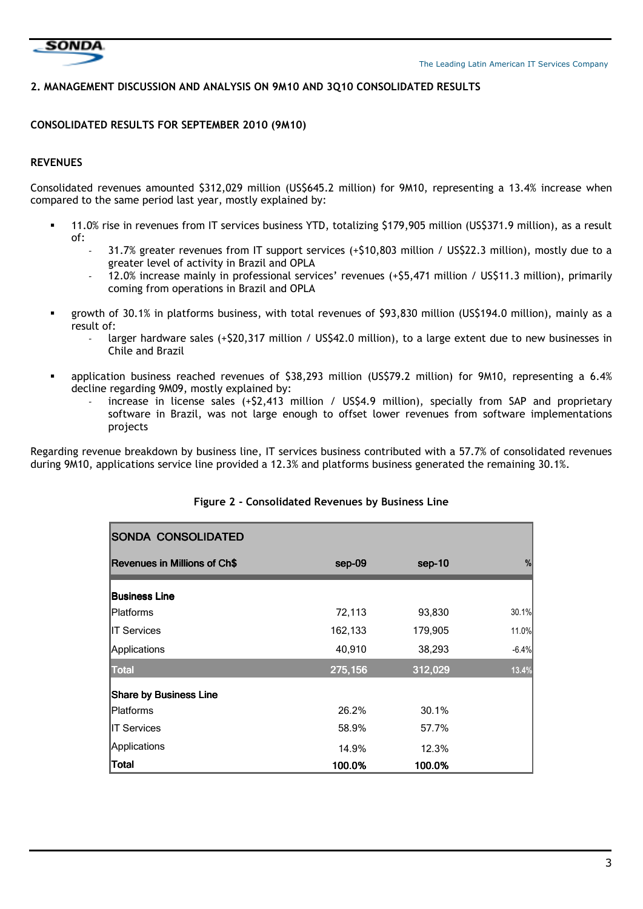

#### **2. MANAGEMENT DISCUSSION AND ANALYSIS ON 9M10 AND 3Q10 CONSOLIDATED RESULTS**

#### **CONSOLIDATED RESULTS FOR SEPTEMBER 2010 (9M10)**

## **REVENUES**

Consolidated revenues amounted \$312,029 million (US\$645.2 million) for 9M10, representing a 13.4% increase when compared to the same period last year, mostly explained by:

- 11.0% rise in revenues from IT services business YTD, totalizing \$179,905 million (US\$371.9 million), as a result of:
	- 31.7% greater revenues from IT support services (+\$10,803 million / US\$22.3 million), mostly due to a greater level of activity in Brazil and OPLA
	- 12.0% increase mainly in professional services' revenues (+\$5,471 million / US\$11.3 million), primarily coming from operations in Brazil and OPLA
- growth of 30.1% in platforms business, with total revenues of \$93,830 million (US\$194.0 million), mainly as a result of:
	- larger hardware sales (+\$20,317 million / US\$42.0 million), to a large extent due to new businesses in Chile and Brazil
- application business reached revenues of \$38,293 million (US\$79.2 million) for 9M10, representing a 6.4% decline regarding 9M09, mostly explained by:
	- increase in license sales (+\$2,413 million / US\$4.9 million), specially from SAP and proprietary software in Brazil, was not large enough to offset lower revenues from software implementations projects

Regarding revenue breakdown by business line, IT services business contributed with a 57.7% of consolidated revenues during 9M10, applications service line provided a 12.3% and platforms business generated the remaining 30.1%.

| <b>SONDA CONSOLIDATED</b>           |         |         |         |
|-------------------------------------|---------|---------|---------|
| <b>Revenues in Millions of Ch\$</b> | sep-09  | sep-10  | %       |
| <b>Business Line</b>                |         |         |         |
| Platforms                           | 72,113  | 93,830  | 30.1%   |
| <b>IT Services</b>                  | 162,133 | 179,905 | 11.0%   |
| Applications                        | 40,910  | 38,293  | $-6.4%$ |
| <b>Total</b>                        | 275,156 | 312,029 | 13.4%   |
| <b>Share by Business Line</b>       |         |         |         |
| Platforms                           | 26.2%   | 30.1%   |         |
| <b>IT Services</b>                  | 58.9%   | 57.7%   |         |
| Applications                        | 14.9%   | 12.3%   |         |
| <b>Total</b>                        | 100.0%  | 100.0%  |         |

## **Figure 2 - Consolidated Revenues by Business Line**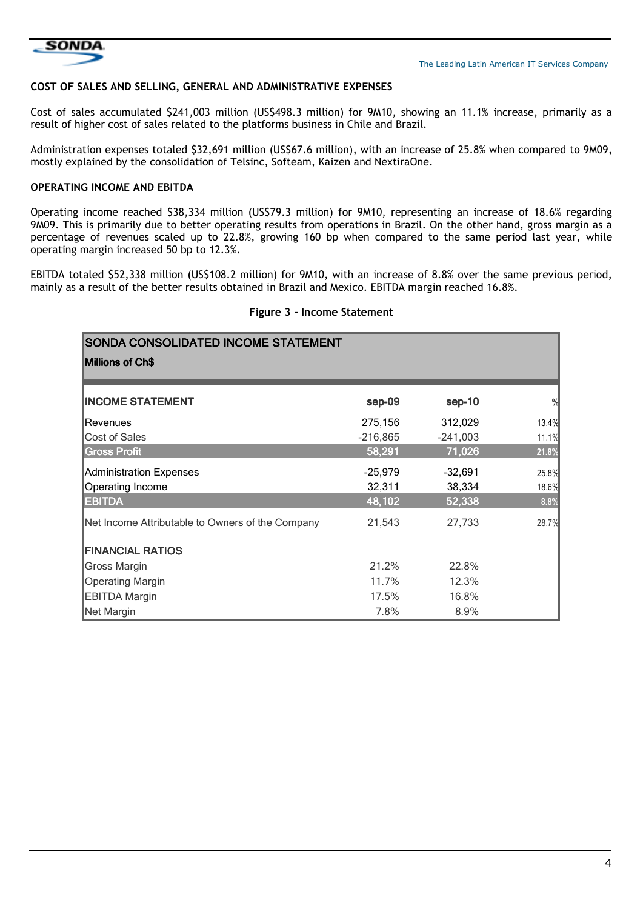

#### **COST OF SALES AND SELLING, GENERAL AND ADMINISTRATIVE EXPENSES**

Cost of sales accumulated \$241,003 million (US\$498.3 million) for 9M10, showing an 11.1% increase, primarily as a result of higher cost of sales related to the platforms business in Chile and Brazil.

Administration expenses totaled \$32,691 million (US\$67.6 million), with an increase of 25.8% when compared to 9M09, mostly explained by the consolidation of Telsinc, Softeam, Kaizen and NextiraOne.

## **OPERATING INCOME AND EBITDA**

Operating income reached \$38,334 million (US\$79.3 million) for 9M10, representing an increase of 18.6% regarding 9M09. This is primarily due to better operating results from operations in Brazil. On the other hand, gross margin as a percentage of revenues scaled up to 22.8%, growing 160 bp when compared to the same period last year, while operating margin increased 50 bp to 12.3%.

EBITDA totaled \$52,338 million (US\$108.2 million) for 9M10, with an increase of 8.8% over the same previous period, mainly as a result of the better results obtained in Brazil and Mexico. EBITDA margin reached 16.8%.

## **Figure 3 - Income Statement**

| <b>SONDA CONSOLIDATED INCOME STATEMENT</b>       |            |            |               |
|--------------------------------------------------|------------|------------|---------------|
| Millions of Ch\$                                 |            |            |               |
| <b>INCOME STATEMENT</b>                          | sep-09     | sep-10     | $\frac{9}{8}$ |
| <b>IRevenues</b>                                 | 275,156    | 312,029    | 13.4%         |
| Cost of Sales                                    | $-216,865$ | $-241,003$ | 11.1%         |
| <b>Gross Profit</b>                              | 58,291     | 71,026     | 21.8%         |
| Administration Expenses                          | $-25,979$  | $-32,691$  | 25.8%         |
| Operating Income                                 | 32,311     | 38,334     | 18.6%         |
| <b>EBITDA</b>                                    | 48,102     | 52,338     | 8.8%          |
| Net Income Attributable to Owners of the Company | 21,543     | 27,733     | 28.7%         |
| <b>FINANCIAL RATIOS</b>                          |            |            |               |
| Gross Margin                                     | 21.2%      | 22.8%      |               |
| <b>Operating Margin</b>                          | 11.7%      | 12.3%      |               |
| <b>EBITDA Margin</b>                             | 17.5%      | 16.8%      |               |
| Net Margin                                       | 7.8%       | 8.9%       |               |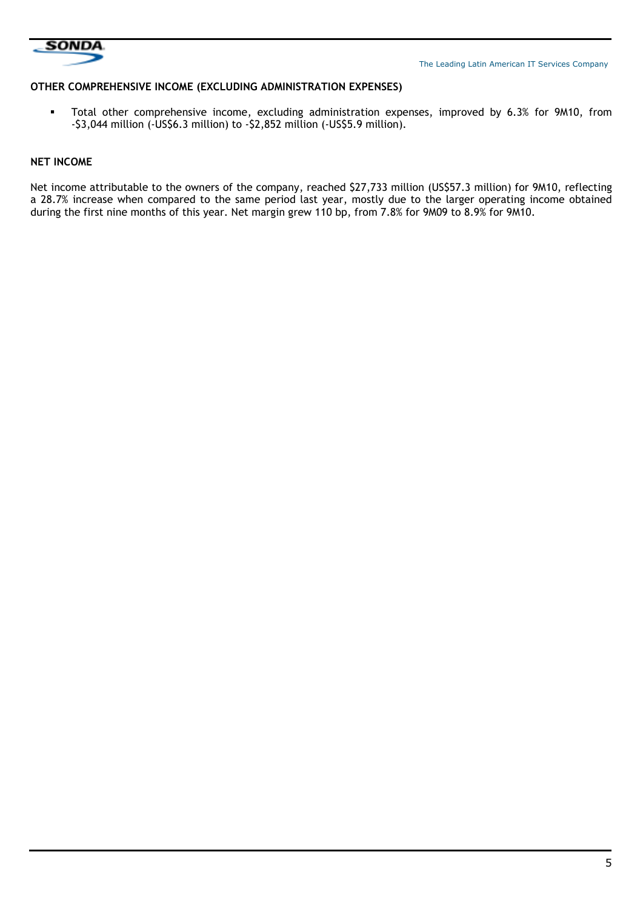

#### **OTHER COMPREHENSIVE INCOME (EXCLUDING ADMINISTRATION EXPENSES)**

Total other comprehensive income, excluding administration expenses, improved by 6.3% for 9M10, from -\$3,044 million (-US\$6.3 million) to -\$2,852 million (-US\$5.9 million).

#### **NET INCOME**

Net income attributable to the owners of the company, reached \$27,733 million (US\$57.3 million) for 9M10, reflecting a 28.7% increase when compared to the same period last year, mostly due to the larger operating income obtained during the first nine months of this year. Net margin grew 110 bp, from 7.8% for 9M09 to 8.9% for 9M10.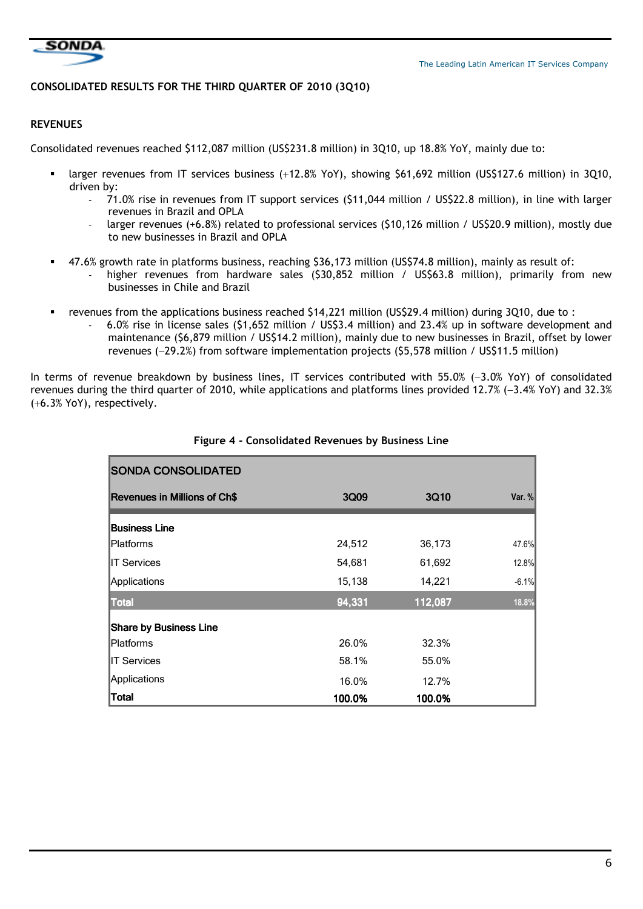

## **CONSOLIDATED RESULTS FOR THE THIRD QUARTER OF 2010 (3Q10)**

## **REVENUES**

Consolidated revenues reached \$112,087 million (US\$231.8 million) in 3Q10, up 18.8% YoY, mainly due to:

- larger revenues from IT services business (+12.8% YoY), showing \$61,692 million (US\$127.6 million) in 3Q10, driven by:
	- 71.0% rise in revenues from IT support services (\$11,044 million / US\$22.8 million), in line with larger revenues in Brazil and OPLA
	- larger revenues (+6.8%) related to professional services (\$10,126 million / US\$20.9 million), mostly due to new businesses in Brazil and OPLA
	- 47.6% growth rate in platforms business, reaching \$36,173 million (US\$74.8 million), mainly as result of:
		- higher revenues from hardware sales (\$30,852 million / US\$63.8 million), primarily from new businesses in Chile and Brazil
- revenues from the applications business reached \$14,221 million (US\$29.4 million) during 3Q10, due to :
	- 6.0% rise in license sales (\$1,652 million / US\$3.4 million) and 23.4% up in software development and maintenance (\$6,879 million / US\$14.2 million), mainly due to new businesses in Brazil, offset by lower revenues (−29.2%) from software implementation projects (\$5,578 million / US\$11.5 million)

In terms of revenue breakdown by business lines, IT services contributed with 55.0% (−3.0% YoY) of consolidated revenues during the third quarter of 2010, while applications and platforms lines provided 12.7% (−3.4% YoY) and 32.3% (+6.3% YoY), respectively.

| <b>SONDA CONSOLIDATED</b>           |        |         |          |
|-------------------------------------|--------|---------|----------|
| <b>Revenues in Millions of Ch\$</b> | 3Q09   | 3Q10    | Var. $%$ |
| <b>Business Line</b>                |        |         |          |
| <b>IPlatforms</b>                   | 24,512 | 36,173  | 47.6%    |
| <b>IT Services</b>                  | 54,681 | 61,692  | 12.8%    |
| Applications                        | 15,138 | 14,221  | $-6.1%$  |
| Total                               | 94,331 | 112,087 | 18.8%    |
| <b>Share by Business Line</b>       |        |         |          |
| <b>IPlatforms</b>                   | 26.0%  | 32.3%   |          |
| <b>IT Services</b>                  | 58.1%  | 55.0%   |          |
| Applications                        | 16.0%  | 12.7%   |          |
| <b>Total</b>                        | 100.0% | 100.0%  |          |

#### **Figure 4 - Consolidated Revenues by Business Line**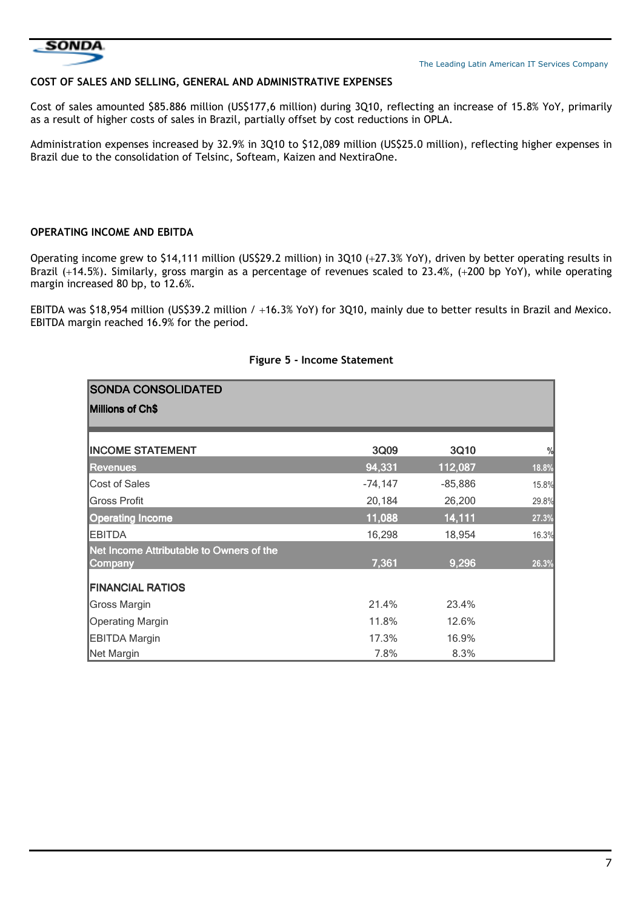

#### **COST OF SALES AND SELLING, GENERAL AND ADMINISTRATIVE EXPENSES**

Cost of sales amounted \$85.886 million (US\$177,6 million) during 3Q10, reflecting an increase of 15.8% YoY, primarily as a result of higher costs of sales in Brazil, partially offset by cost reductions in OPLA.

Administration expenses increased by 32.9% in 3Q10 to \$12,089 million (US\$25.0 million), reflecting higher expenses in Brazil due to the consolidation of Telsinc, Softeam, Kaizen and NextiraOne.

## **OPERATING INCOME AND EBITDA**

Operating income grew to \$14,111 million (US\$29.2 million) in 3Q10 (+27.3% YoY), driven by better operating results in Brazil (+14.5%). Similarly, gross margin as a percentage of revenues scaled to 23.4%, (+200 bp YoY), while operating margin increased 80 bp, to 12.6%.

EBITDA was \$18,954 million (US\$39.2 million / +16.3% YoY) for 3Q10, mainly due to better results in Brazil and Mexico. EBITDA margin reached 16.9% for the period.

| <b>SONDA CONSOLIDATED</b>                           |           |           |               |
|-----------------------------------------------------|-----------|-----------|---------------|
| Millions of Ch\$                                    |           |           |               |
|                                                     |           |           |               |
| <b>INCOME STATEMENT</b>                             | 3Q09      | 3Q10      | $\frac{0}{0}$ |
| Revenues                                            | 94,331    | 112,087   | 18.8%         |
| Cost of Sales                                       | $-74,147$ | $-85,886$ | 15.8%         |
| <b>Gross Profit</b>                                 | 20,184    | 26,200    | 29.8%         |
| <b>Operating Income</b>                             | 11,088    | 14,111    | 27.3%         |
| <b>EBITDA</b>                                       | 16,298    | 18,954    | 16.3%         |
| Net Income Attributable to Owners of the<br>Company | 7,361     | 9,296     | 26.3%         |
| <b>FINANCIAL RATIOS</b>                             |           |           |               |
| Gross Margin                                        | 21.4%     | 23.4%     |               |
| <b>Operating Margin</b>                             | 11.8%     | 12.6%     |               |
| <b>EBITDA Margin</b>                                | 17.3%     | 16.9%     |               |
| Net Margin                                          | 7.8%      | 8.3%      |               |

#### **Figure 5 - Income Statement**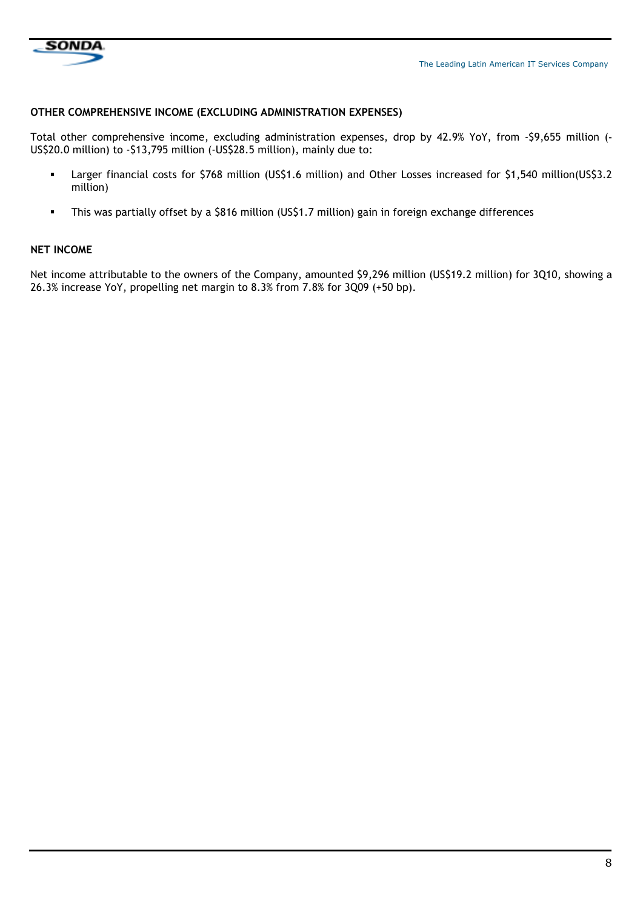

### **OTHER COMPREHENSIVE INCOME (EXCLUDING ADMINISTRATION EXPENSES)**

Total other comprehensive income, excluding administration expenses, drop by 42.9% YoY, from -\$9,655 million (**-** US\$20.0 million) to -\$13,795 million (-US\$28.5 million), mainly due to:

- Larger financial costs for \$768 million (US\$1.6 million) and Other Losses increased for \$1,540 million(US\$3.2 million)
- This was partially offset by a \$816 million (US\$1.7 million) gain in foreign exchange differences

#### **NET INCOME**

Net income attributable to the owners of the Company, amounted \$9,296 million (US\$19.2 million) for 3Q10, showing a 26.3% increase YoY, propelling net margin to 8.3% from 7.8% for 3Q09 (+50 bp).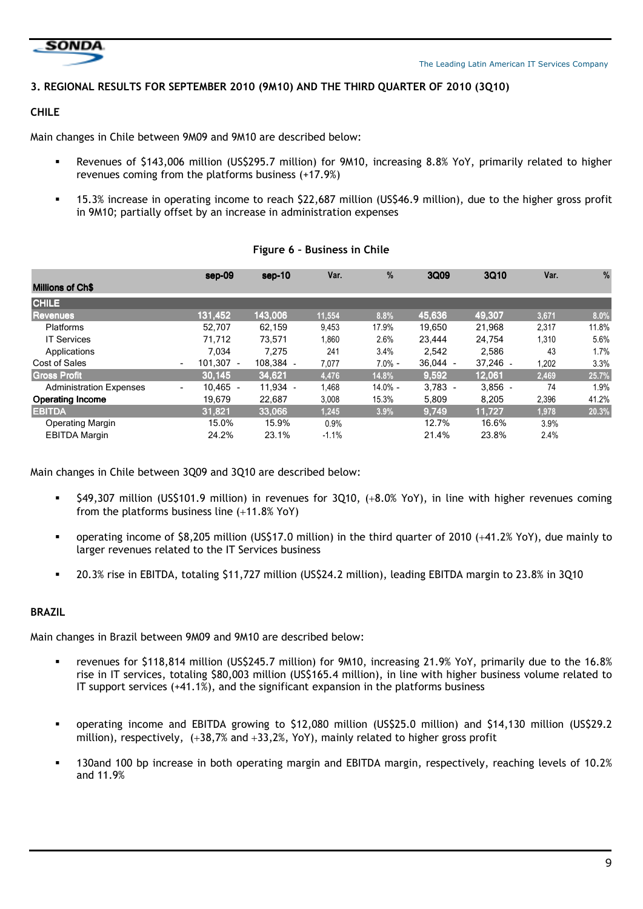

## **3. REGIONAL RESULTS FOR SEPTEMBER 2010 (9M10) AND THE THIRD QUARTER OF 2010 (3Q10)**

## **CHILE**

Main changes in Chile between 9M09 and 9M10 are described below:

- Revenues of \$143,006 million (US\$295.7 million) for 9M10, increasing 8.8% YoY, primarily related to higher revenues coming from the platforms business (+17.9%)
- 15.3% increase in operating income to reach \$22,687 million (US\$46.9 million), due to the higher gross profit in 9M10; partially offset by an increase in administration expenses

|                                | $sep-09$                              | $sep-10$  | Var.    | %         | 3Q09       | 3Q10       | Var.  | %     |
|--------------------------------|---------------------------------------|-----------|---------|-----------|------------|------------|-------|-------|
| <b>Millions of Ch\$</b>        |                                       |           |         |           |            |            |       |       |
| <b>CHILE</b>                   |                                       |           |         |           |            |            |       |       |
| <b>Revenues</b>                | 131,452                               | 143,006   | 11,554  | 8.8%      | 45,636     | 49.307     | 3.671 | 8.0%  |
| <b>Platforms</b>               | 52.707                                | 62.159    | 9,453   | 17.9%     | 19,650     | 21,968     | 2,317 | 11.8% |
| <b>IT Services</b>             | 71.712                                | 73,571    | 1,860   | 2.6%      | 23.444     | 24.754     | 1,310 | 5.6%  |
| Applications                   | 7.034                                 | 7,275     | 241     | 3.4%      | 2,542      | 2,586      | 43    | 1.7%  |
| Cost of Sales                  | 101.307 -<br>$\overline{\phantom{a}}$ | 108.384 - | 7,077   | $7.0% -$  | $36.044 -$ | $37.246 -$ | 1,202 | 3.3%  |
| <b>Gross Profit</b>            | 30.145                                | 34,621    | 4,476   | 14.8%     | 9,592      | 12,061     | 2,469 | 25.7% |
| <b>Administration Expenses</b> | $10.465 -$<br>$\blacksquare$          | 11.934 -  | 1.468   | $14.0% -$ | $3.783 -$  | $3.856 -$  | 74    | 1.9%  |
| <b>Operating Income</b>        | 19,679                                | 22,687    | 3,008   | 15.3%     | 5,809      | 8,205      | 2,396 | 41.2% |
| <b>EBITDA</b>                  | 31,821                                | 33,066    | 1,245   | 3.9%      | 9,749      | 11.727     | 1,978 | 20.3% |
| <b>Operating Margin</b>        | 15.0%                                 | 15.9%     | 0.9%    |           | 12.7%      | 16.6%      | 3.9%  |       |
| <b>EBITDA Margin</b>           | 24.2%                                 | 23.1%     | $-1.1%$ |           | 21.4%      | 23.8%      | 2.4%  |       |

## **Figure 6 – Business in Chile**

Main changes in Chile between 3Q09 and 3Q10 are described below:

- \$49,307 million (US\$101.9 million) in revenues for 3Q10, (+8.0% YoY), in line with higher revenues coming from the platforms business line (+11.8% YoY)
- operating income of \$8,205 million (US\$17.0 million) in the third quarter of 2010 (+41.2% YoY), due mainly to larger revenues related to the IT Services business
- 20.3% rise in EBITDA, totaling \$11,727 million (US\$24.2 million), leading EBITDA margin to 23.8% in 3Q10

## **BRAZIL**

Main changes in Brazil between 9M09 and 9M10 are described below:

- revenues for \$118,814 million (US\$245.7 million) for 9M10, increasing 21.9% YoY, primarily due to the 16.8% rise in IT services, totaling \$80,003 million (US\$165.4 million), in line with higher business volume related to IT support services (+41.1%), and the significant expansion in the platforms business
- operating income and EBITDA growing to \$12,080 million (US\$25.0 million) and \$14,130 million (US\$29.2 million), respectively,  $(+38,7%$  and  $+33,2%$ , YoY), mainly related to higher gross profit
- 130and 100 bp increase in both operating margin and EBITDA margin, respectively, reaching levels of 10.2% and 11.9%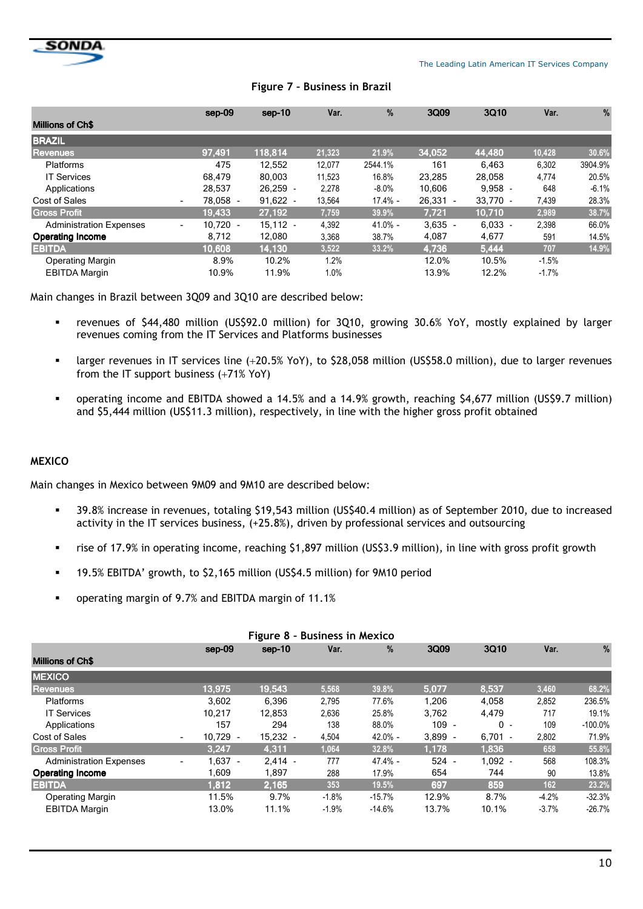

|                                | sep-09                                 | sep-10     | Var.   | %          | 3Q09       | 3Q10       | Var.    | %       |
|--------------------------------|----------------------------------------|------------|--------|------------|------------|------------|---------|---------|
| <b>Millions of Ch\$</b>        |                                        |            |        |            |            |            |         |         |
| <b>BRAZIL</b>                  |                                        |            |        |            |            |            |         |         |
| <b>Revenues</b>                | 97,491                                 | 118,814    | 21,323 | 21.9%      | 34,052     | 44,480     | 10,428  | 30.6%   |
| Platforms                      | 475                                    | 12.552     | 12,077 | 2544.1%    | 161        | 6.463      | 6,302   | 3904.9% |
| <b>IT Services</b>             | 68.479                                 | 80.003     | 11,523 | 16.8%      | 23,285     | 28,058     | 4,774   | 20.5%   |
| Applications                   | 28.537                                 | $26.259 -$ | 2.278  | $-8.0\%$   | 10.606     | $9.958 -$  | 648     | $-6.1%$ |
| <b>Cost of Sales</b>           | 78.058<br>$\overline{\phantom{a}}$     | $91.622 -$ | 13,564 | $17.4\%$ - | $26.331 -$ | $33.770 -$ | 7,439   | 28.3%   |
| <b>Gross Profit</b>            | 19.433                                 | 27,192     | 7,759  | 39.9%      | 7,721      | 10.710     | 2,989   | 38.7%   |
| <b>Administration Expenses</b> | $10.720 -$<br>$\overline{\phantom{a}}$ | $15,112 -$ | 4,392  | $41.0% -$  | $3,635 -$  | $6,033 -$  | 2,398   | 66.0%   |
| <b>Operating Income</b>        | 8.712                                  | 12.080     | 3,368  | 38.7%      | 4,087      | 4,677      | 591     | 14.5%   |
| <b>EBITDA</b>                  | 10.608                                 | 14,130     | 3,522  | 33.2%      | 4,736      | 5,444      | 707     | 14.9%   |
| <b>Operating Margin</b>        | 8.9%                                   | 10.2%      | 1.2%   |            | 12.0%      | 10.5%      | $-1.5%$ |         |
| <b>EBITDA Margin</b>           | 10.9%                                  | 11.9%      | 1.0%   |            | 13.9%      | 12.2%      | $-1.7%$ |         |

## **Figure 7 – Business in Brazil**

Main changes in Brazil between 3Q09 and 3Q10 are described below:

- revenues of \$44,480 million (US\$92.0 million) for 3Q10, growing 30.6% YoY, mostly explained by larger revenues coming from the IT Services and Platforms businesses
- larger revenues in IT services line (+20.5% YoY), to \$28,058 million (US\$58.0 million), due to larger revenues from the IT support business (+71% YoY)
- operating income and EBITDA showed a 14.5% and a 14.9% growth, reaching \$4,677 million (US\$9.7 million) and \$5,444 million (US\$11.3 million), respectively, in line with the higher gross profit obtained

## **MEXICO**

Main changes in Mexico between 9M09 and 9M10 are described below:

- 39.8% increase in revenues, totaling \$19,543 million (US\$40.4 million) as of September 2010, due to increased activity in the IT services business, (+25.8%), driven by professional services and outsourcing
- rise of 17.9% in operating income, reaching \$1,897 million (US\$3.9 million), in line with gross profit growth
- 19.5% EBITDA' growth, to \$2,165 million (US\$4.5 million) for 9M10 period
- operating margin of 9.7% and EBITDA margin of 11.1%

| Figure 8 - Business in Mexico  |                          |            |            |         |            |           |           |         |           |  |
|--------------------------------|--------------------------|------------|------------|---------|------------|-----------|-----------|---------|-----------|--|
|                                |                          | $sep-09$   | sep-10     | Var.    | $\%$       | 3Q09      | 3Q10      | Var.    | %         |  |
| <b>Millions of Ch\$</b>        |                          |            |            |         |            |           |           |         |           |  |
| <b>MEXICO</b>                  |                          |            |            |         |            |           |           |         |           |  |
| <b>Revenues</b>                |                          | 13,975     | 19,543     | 5,568   | 39.8%      | 5,077     | 8,537     | 3,460   | 68.2%     |  |
| Platforms                      |                          | 3.602      | 6.396      | 2.795   | 77.6%      | 1.206     | 4.058     | 2,852   | 236.5%    |  |
| <b>IT Services</b>             |                          | 10.217     | 12.853     | 2,636   | 25.8%      | 3,762     | 4,479     | 717     | 19.1%     |  |
| Applications                   |                          | 157        | 294        | 138     | 88.0%      | $109 -$   | $0 -$     | 109     | $-100.0%$ |  |
| Cost of Sales                  | $\overline{\phantom{a}}$ | $10.729 -$ | $15,232 -$ | 4,504   | $42.0\% -$ | $3,899 -$ | $6,701 -$ | 2,802   | 71.9%     |  |
| <b>Gross Profit</b>            |                          | 3,247      | 4,311      | 1,064   | 32.8%      | 1,178     | 1,836     | 658     | 55.8%     |  |
| <b>Administration Expenses</b> | $\overline{\phantom{a}}$ | $1.637 -$  | $2.414 -$  | 777     | $47.4% -$  | $524 -$   | $1.092 -$ | 568     | 108.3%    |  |
| <b>Operating Income</b>        |                          | 1,609      | 1,897      | 288     | 17.9%      | 654       | 744       | 90      | 13.8%     |  |
| <b>EBITDA</b>                  |                          | 1.812      | 2,165      | 353     | 19.5%      | 697       | 859       | 162     | 23.2%     |  |
| <b>Operating Margin</b>        |                          | 11.5%      | 9.7%       | $-1.8%$ | $-15.7%$   | 12.9%     | 8.7%      | $-4.2%$ | $-32.3%$  |  |
| <b>EBITDA Margin</b>           |                          | 13.0%      | 11.1%      | $-1.9%$ | $-14.6%$   | 13.7%     | 10.1%     | $-3.7%$ | $-26.7%$  |  |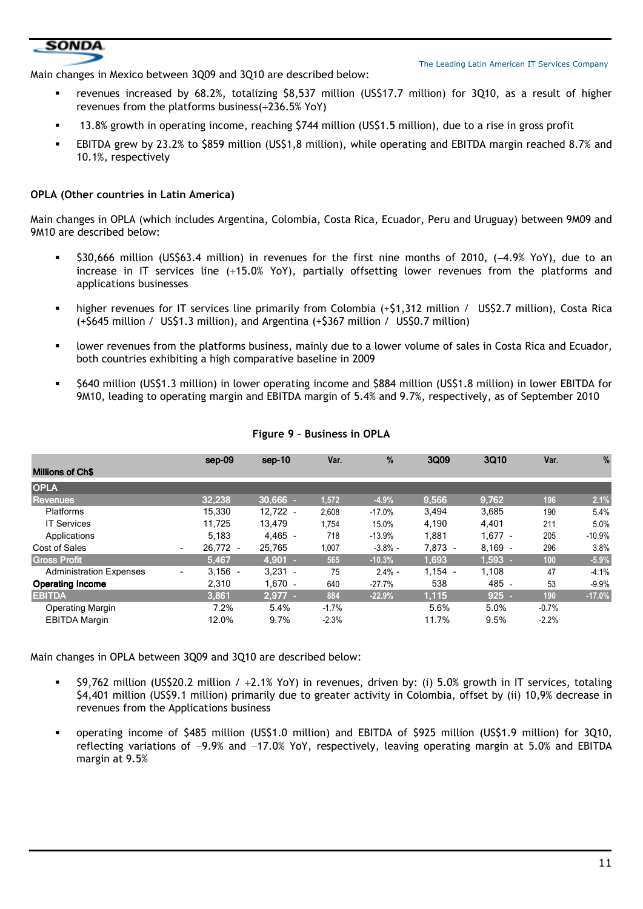## **SONDA**

The Leading Latin American IT Services Company

Main changes in Mexico between 3Q09 and 3Q10 are described below:

- revenues increased by 68.2%, totalizing \$8,537 million (US\$17.7 million) for 3Q10, as a result of higher revenues from the platforms business(+236.5% YoY)
- 13.8% growth in operating income, reaching \$744 million (US\$1.5 million), due to a rise in gross profit
- EBITDA grew by 23.2% to \$859 million (US\$1,8 million), while operating and EBITDA margin reached 8.7% and 10.1%, respectively

## **OPLA (Other countries in Latin America)**

Main changes in OPLA (which includes Argentina, Colombia, Costa Rica, Ecuador, Peru and Uruguay) between 9M09 and 9M10 are described below:

- \$30,666 million (US\$63.4 million) in revenues for the first nine months of 2010, (−4.9% YoY), due to an increase in IT services line (+15.0% YoY), partially offsetting lower revenues from the platforms and applications businesses
- higher revenues for IT services line primarily from Colombia (+\$1,312 million / US\$2.7 million), Costa Rica (+\$645 million / US\$1.3 million), and Argentina (+\$367 million / US\$0.7 million)
- lower revenues from the platforms business, mainly due to a lower volume of sales in Costa Rica and Ecuador, both countries exhibiting a high comparative baseline in 2009
- \$640 million (US\$1.3 million) in lower operating income and \$884 million (US\$1.8 million) in lower EBITDA for 9M10, leading to operating margin and EBITDA margin of 5.4% and 9.7%, respectively, as of September 2010

|                                |   | $sep-09$   | $sep-10$   | Var.     | %          | 3Q09      | 3Q10      | Var.    | %        |
|--------------------------------|---|------------|------------|----------|------------|-----------|-----------|---------|----------|
| <b>Millions of Ch\$</b>        |   |            |            |          |            |           |           |         |          |
| <b>OPLA</b>                    |   |            |            |          |            |           |           |         |          |
| <b>Revenues</b>                |   | 32,238     | $30.666$ . | 1,572    | $-4.9%$    | 9,566     | 9,762     | 196     | 2.1%     |
| <b>Platforms</b>               |   | 15.330     | $12.722 -$ | 2,608    | $-17.0%$   | 3.494     | 3.685     | 190     | 5.4%     |
| <b>IT Services</b>             |   | 11,725     | 13.479     | 1.754    | 15.0%      | 4,190     | 4,401     | 211     | 5.0%     |
| Applications                   |   | 5.183      | $4.465 -$  | 718      | $-13.9%$   | 1.881     | $1.677 -$ | 205     | $-10.9%$ |
| <b>Cost of Sales</b>           | ٠ | $26.772 -$ | 25,765     | 1,007    | $-3.8\%$ - | 7,873 -   | $8,169 -$ | 296     | 3.8%     |
| <b>Gross Profit</b>            |   | 5.467      | $4.901 -$  | 565      | $-10.3%$   | 1,693     | $1.593 -$ | 100     | $-5.9%$  |
| <b>Administration Expenses</b> | ٠ | $3,156 -$  | $3,231 -$  | 75       | $2.4% -$   | $1.154 -$ | 1,108     | 47      | $-4.1%$  |
| <b>Operating Income</b>        |   | 2,310      | $1.670 -$  | 640      | $-27.7%$   | 538       | 485 -     | 53      | $-9.9%$  |
| <b>EBITDA</b>                  |   | 3,861      | $2.977 -$  | 884      | $-22.9%$   | 1.115     | $925 -$   | 190     | $-17.0%$ |
| <b>Operating Margin</b>        |   | 7.2%       | 5.4%       | $-1.7\%$ |            | 5.6%      | 5.0%      | $-0.7%$ |          |
| <b>EBITDA Margin</b>           |   | 12.0%      | 9.7%       | $-2.3%$  |            | 11.7%     | 9.5%      | $-2.2%$ |          |

#### **Figure 9 – Business in OPLA**

Main changes in OPLA between 3Q09 and 3Q10 are described below:

- $\bullet$  \$9,762 million (US\$20.2 million / +2.1% YoY) in revenues, driven by: (i) 5.0% growth in IT services, totaling \$4,401 million (US\$9.1 million) primarily due to greater activity in Colombia, offset by (ii) 10,9% decrease in revenues from the Applications business
- operating income of \$485 million (US\$1.0 million) and EBITDA of \$925 million (US\$1.9 million) for 3Q10, reflecting variations of −9.9% and −17.0% YoY, respectively, leaving operating margin at 5.0% and EBITDA margin at 9.5%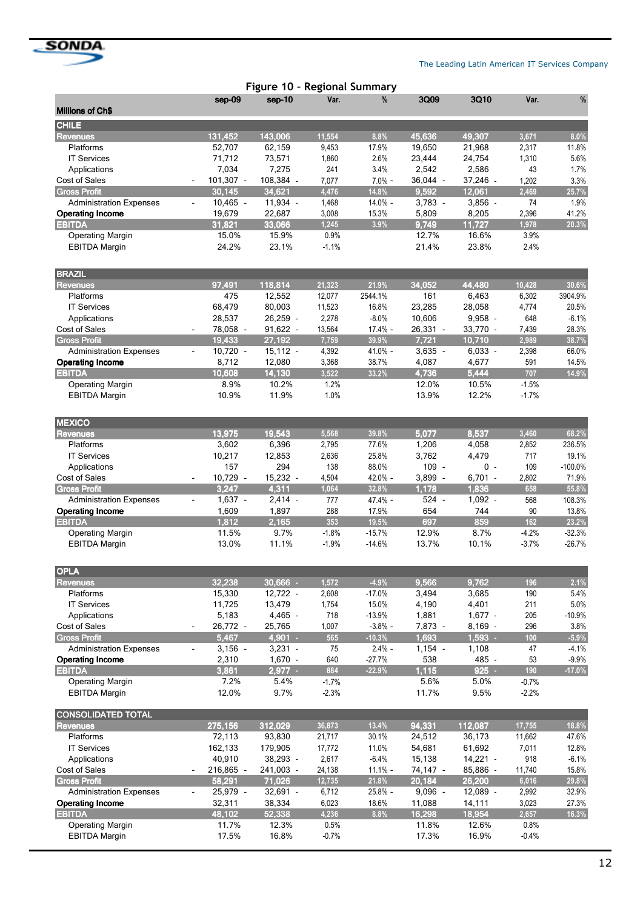

|                                                 |                                       | Figure 10 - Regional Summary |                    |                   |              |               |                    |                   |
|-------------------------------------------------|---------------------------------------|------------------------------|--------------------|-------------------|--------------|---------------|--------------------|-------------------|
|                                                 | sep-09                                | sep-10                       | Var.               | %                 | 3Q09         | 3Q10          | Var.               | %                 |
| <b>Millions of Ch\$</b>                         |                                       |                              |                    |                   |              |               |                    |                   |
| <b>CHILE</b><br><b>Revenues</b>                 | 131,452                               | 143,006                      | 11,554             | 8.8%              | 45,636       | 49,307        | 3,671              | 8.0%              |
| Platforms                                       | 52,707                                | 62,159                       | 9,453              | 17.9%             | 19,650       | 21,968        | 2,317              | 11.8%             |
| <b>IT Services</b>                              | 71,712                                | 73,571                       | 1,860              | 2.6%              | 23,444       | 24,754        | 1,310              | 5.6%              |
| Applications                                    | 7,034                                 | 7,275                        | 241                | 3.4%              | 2,542        | 2,586         | 43                 | 1.7%              |
| Cost of Sales                                   | 101,307 -                             | 108,384 -                    | 7,077              | $7.0% -$          | 36,044 -     | 37,246 -      | 1,202              | 3.3%              |
| <b>Gross Profit</b>                             | 30,145                                | 34,621                       | 4,476              | 14.8%             | 9,592        | 12,061        | 2,469              | 25.7%             |
| <b>Administration Expenses</b>                  | $10,465 -$<br>$\frac{1}{2}$           | 11,934 -                     | 1,468              | 14.0% -           | $3,783 -$    | $3,856 -$     | 74                 | 1.9%              |
| <b>Operating Income</b>                         | 19,679                                | 22,687                       | 3,008              | 15.3%             | 5,809        | 8,205         | 2,396              | 41.2%             |
| <b>EBITDA</b>                                   | 31,821                                | 33,066                       | 1,245              | 3.9%              | 9,749        | 11,727        | 1,978              | 20.3%             |
| <b>Operating Margin</b>                         | 15.0%                                 | 15.9%                        | 0.9%               |                   | 12.7%        | 16.6%         | 3.9%               |                   |
| <b>EBITDA Margin</b>                            | 24.2%                                 | 23.1%                        | $-1.1%$            |                   | 21.4%        | 23.8%         | 2.4%               |                   |
| <b>BRAZIL</b>                                   |                                       |                              |                    |                   |              |               |                    |                   |
| <b>Revenues</b>                                 | 97,491                                | 118,814                      | 21,323             | 21.9%             | 34,052       | 44,480        | 10,428             | 30.6%             |
| Platforms                                       | 475                                   | 12,552                       | 12,077             | 2544.1%           | 161          | 6,463         | 6,302              | 3904.9%           |
| <b>IT Services</b>                              | 68,479                                | 80,003                       | 11,523             | 16.8%             | 23,285       | 28,058        | 4,774              | 20.5%             |
| Applications                                    | 28,537                                | 26,259 -                     | 2,278              | $-8.0%$           | 10,606       | $9,958 -$     | 648                | $-6.1%$           |
| Cost of Sales                                   | 78,058 -                              | 91,622 -                     | 13,564             | 17.4% -           | $26,331 -$   | 33,770 -      | 7,439              | 28.3%             |
| <b>Gross Profit</b>                             | 19,433                                | 27,192                       | 7,759              | 39.9%             | 7,721        | 10,710        | 2,989              | 38.7%             |
| <b>Administration Expenses</b>                  | $10,720 -$<br>$\frac{1}{2}$           | $15,112 -$                   | 4,392              | 41.0% -           | $3,635 -$    | $6,033 -$     | 2,398              | 66.0%             |
| <b>Operating Income</b>                         | 8,712                                 | 12,080                       | 3,368              | 38.7%             | 4,087        | 4,677         | 591                | 14.5%             |
| <b>EBITDA</b>                                   | 10,608                                | 14,130                       | 3,522              | 33.2%             | 4,736        | 5,444         | 707                | 14.9%             |
| <b>Operating Margin</b>                         | 8.9%                                  | 10.2%                        | 1.2%               |                   | 12.0%        | 10.5%         | $-1.5%$            |                   |
| <b>EBITDA Margin</b>                            | 10.9%                                 | 11.9%                        | 1.0%               |                   | 13.9%        | 12.2%         | $-1.7%$            |                   |
| <b>MEXICO</b>                                   |                                       |                              |                    |                   |              |               |                    |                   |
| <b>Revenues</b>                                 | 13,975                                | 19,543                       | 5,568              | 39.8%             | 5,077        | 8,537         | 3,460              | 68.2%             |
| Platforms                                       | 3,602                                 | 6,396                        | 2,795              | 77.6%             | 1,206        | 4,058         | 2,852              | 236.5%            |
| <b>IT Services</b>                              | 10,217                                | 12,853                       | 2,636              | 25.8%             | 3,762        | 4,479         | 717                | 19.1%             |
| Applications                                    | 157                                   | 294                          | 138                | 88.0%             | $109 -$      | $0 -$         | 109                | $-100.0%$         |
| Cost of Sales                                   | 10,729 -                              | 15,232 -                     | 4,504              | 42.0% -           | 3,899 -      | $6,701 -$     | 2,802              | 71.9%             |
| <b>Gross Profit</b>                             | 3,247                                 | 4,311                        | 1,064              | 32.8%             | 1,178        | 1,836         | 658                | 55.8%             |
| <b>Administration Expenses</b>                  | $1,637 -$<br>$\frac{1}{2}$            | $2,414 -$                    | 777                | 47.4% -           | 524 -        | $1,092 -$     | 568                | 108.3%            |
| <b>Operating Income</b>                         | 1,609                                 | 1,897                        | 288                | 17.9%             | 654          | 744           | 90                 | 13.8%             |
| <b>EBITDA</b>                                   | 1,812<br>11.5%                        | 2,165<br>9.7%                | 353                | 19.5%<br>$-15.7%$ | 697<br>12.9% | 859           | 162                | 23.2%<br>$-32.3%$ |
| <b>Operating Margin</b><br><b>EBITDA Margin</b> | 13.0%                                 | 11.1%                        | $-1.8%$<br>$-1.9%$ | $-14.6%$          | 13.7%        | 8.7%<br>10.1% | $-4.2%$<br>$-3.7%$ | $-26.7%$          |
| <b>OPLA</b>                                     |                                       |                              |                    |                   |              |               |                    |                   |
| <b>Revenues</b>                                 | 32,238                                | $30,666$ -                   | 1,572              | $-4.9%$           | 9,566        | 9,762         | 196                | 2.1%              |
| Platforms                                       | 15,330                                | $12,722 -$                   | 2,608              | $-17.0%$          | 3,494        | 3,685         | 190                | 5.4%              |
| <b>IT Services</b>                              | 11,725                                | 13,479                       | 1,754              | 15.0%             | 4,190        | 4,401         | 211                | 5.0%              |
| Applications                                    | 5,183                                 | 4,465 -                      | 718                | $-13.9%$          | 1,881        | $1,677 -$     | 205                | $-10.9%$          |
| Cost of Sales                                   | 26,772 -                              | 25,765                       | 1,007              | $-3.8%$ -         | 7,873 -      | $8,169 -$     | 296                | 3.8%              |
| <b>Gross Profit</b>                             | 5,467                                 | $4,901 -$                    | 565                | $-10.3%$          | 1,693        | $1,593 -$     | 100                | $-5.9%$           |
| <b>Administration Expenses</b>                  | $3,156 -$<br>$\overline{\phantom{0}}$ | $3,231 -$                    | 75                 | $2.4% -$          | $1,154 -$    | 1,108         | 47                 | $-4.1%$           |
| <b>Operating Income</b>                         | 2,310                                 | $1,670 -$                    | 640                | $-27.7%$          | 538          | 485 -         | 53                 | $-9.9%$           |
| <b>EBITDA</b>                                   | 3,861                                 | $2,977$ .                    | 884                | $-22.9%$          | 1,115        | $925$ .       | 190                | $-17.0%$          |
| <b>Operating Margin</b>                         | 7.2%                                  | 5.4%                         | $-1.7%$            |                   | 5.6%         | 5.0%          | $-0.7%$            |                   |
| <b>EBITDA Margin</b>                            | 12.0%                                 | 9.7%                         | $-2.3%$            |                   | 11.7%        | 9.5%          | $-2.2%$            |                   |
| <b>CONSOLIDATED TOTAL</b><br><b>Revenues</b>    | 275,156                               | 312,029                      | 36,873             | 13.4%             | 94,331       | 112,087       | 17,755             | 18.8%             |
| Platforms                                       | 72,113                                | 93,830                       | 21,717             | 30.1%             | 24,512       | 36,173        | 11,662             | 47.6%             |
| <b>IT Services</b>                              | 162,133                               | 179,905                      | 17,772             | 11.0%             | 54,681       | 61,692        | 7,011              | 12.8%             |
| Applications                                    | 40,910                                | 38,293 -                     | 2,617              | $-6.4%$           | 15,138       | 14,221 -      | 918                | $-6.1%$           |
| Cost of Sales                                   | 216,865 -                             | 241,003 -                    | 24,138             | $11.1% -$         | 74,147 -     | 85,886 -      | 11,740             | 15.8%             |
| <b>Gross Profit</b>                             | 58,291                                | 71,026                       | 12,735             | 21.8%             | 20,184       | 26,200        | 6,016              | 29.8%             |
| <b>Administration Expenses</b>                  | 25,979 -<br>$\overline{\phantom{0}}$  | $32,691 -$                   | 6,712              | 25.8% -           | $9,096 -$    | $12,089 -$    | 2,992              | 32.9%             |
| <b>Operating Income</b>                         | 32,311                                | 38,334                       | 6,023              | 18.6%             | 11,088       | 14,111        | 3,023              | 27.3%             |
| <b>EBITDA</b>                                   | 48,102                                | 52,338                       | 4,236              | 8.8%              | 16,298       | 18,954        | 2,657              | 16.3%             |
| <b>Operating Margin</b>                         | 11.7%                                 | 12.3%                        | 0.5%               |                   | 11.8%        | 12.6%         | 0.8%               |                   |
| <b>EBITDA Margin</b>                            | 17.5%                                 | 16.8%                        | $-0.7%$            |                   | 17.3%        | 16.9%         | $-0.4%$            |                   |
|                                                 |                                       |                              |                    |                   |              |               |                    |                   |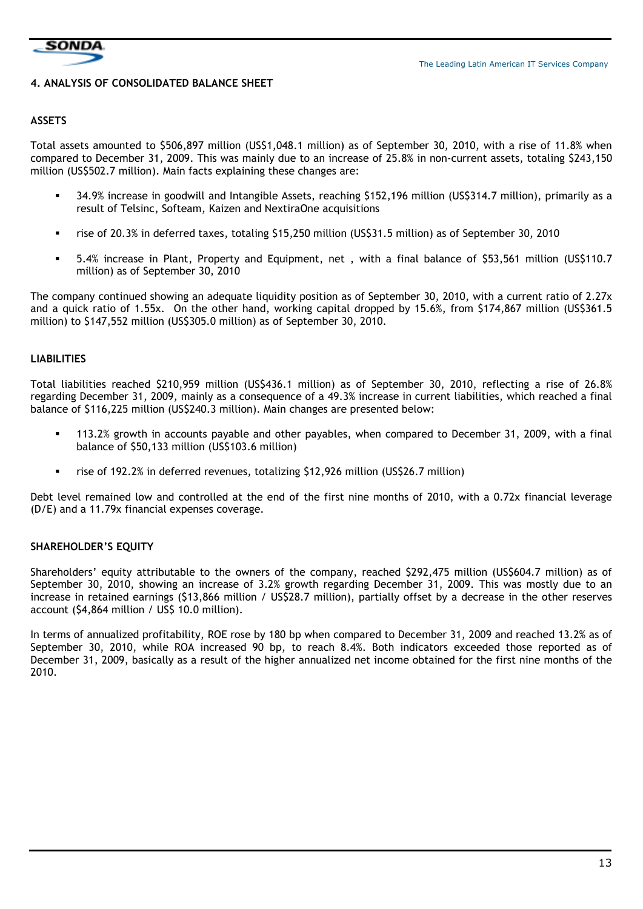

#### **4. ANALYSIS OF CONSOLIDATED BALANCE SHEET**

#### **ASSETS**

Total assets amounted to \$506,897 million (US\$1,048.1 million) as of September 30, 2010, with a rise of 11.8% when compared to December 31, 2009. This was mainly due to an increase of 25.8% in non-current assets, totaling \$243,150 million (US\$502.7 million). Main facts explaining these changes are:

- 34.9% increase in goodwill and Intangible Assets, reaching \$152,196 million (US\$314.7 million), primarily as a result of Telsinc, Softeam, Kaizen and NextiraOne acquisitions
- rise of 20.3% in deferred taxes, totaling \$15,250 million (US\$31.5 million) as of September 30, 2010
- 5.4% increase in Plant, Property and Equipment, net , with a final balance of \$53,561 million (US\$110.7 million) as of September 30, 2010

The company continued showing an adequate liquidity position as of September 30, 2010, with a current ratio of 2.27x and a quick ratio of 1.55x. On the other hand, working capital dropped by 15.6%, from \$174,867 million (US\$361.5 million) to \$147,552 million (US\$305.0 million) as of September 30, 2010.

#### **LIABILITIES**

Total liabilities reached \$210,959 million (US\$436.1 million) as of September 30, 2010, reflecting a rise of 26.8% regarding December 31, 2009, mainly as a consequence of a 49.3% increase in current liabilities, which reached a final balance of \$116,225 million (US\$240.3 million). Main changes are presented below:

- 113.2% growth in accounts payable and other payables, when compared to December 31, 2009, with a final balance of \$50,133 million (US\$103.6 million)
- rise of 192.2% in deferred revenues, totalizing \$12,926 million (US\$26.7 million)

Debt level remained low and controlled at the end of the first nine months of 2010, with a 0.72x financial leverage (D/E) and a 11.79x financial expenses coverage.

## **SHAREHOLDER'S EQUITY**

Shareholders' equity attributable to the owners of the company, reached \$292,475 million (US\$604.7 million) as of September 30, 2010, showing an increase of 3.2% growth regarding December 31, 2009. This was mostly due to an increase in retained earnings (\$13,866 million / US\$28.7 million), partially offset by a decrease in the other reserves account (\$4,864 million / US\$ 10.0 million).

In terms of annualized profitability, ROE rose by 180 bp when compared to December 31, 2009 and reached 13.2% as of September 30, 2010, while ROA increased 90 bp, to reach 8.4%. Both indicators exceeded those reported as of December 31, 2009, basically as a result of the higher annualized net income obtained for the first nine months of the 2010.